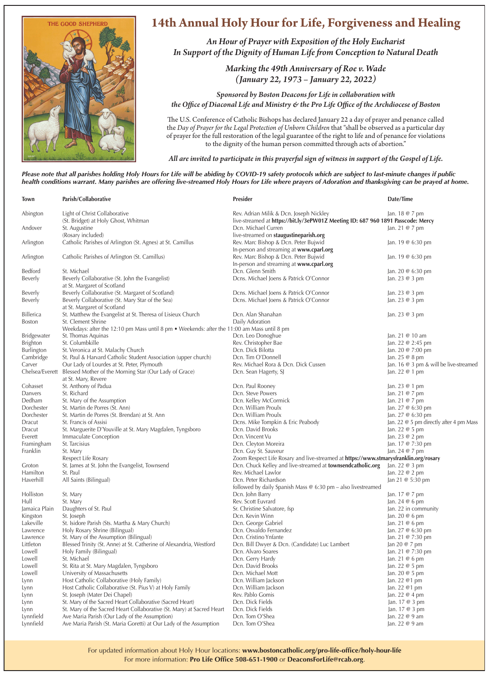

## **14th Annual Holy Hour for Life, Forgiveness and Healing**

*An Hour of Prayer with Exposition of the Holy Eucharist In Support of the Dignity of Human Life from Conception to Natural Death*

> *Marking the 49th Anniversary of Roe v. Wade (January 22, 1973 – January 22, 2022)*

*Sponsored by Boston Deacons for Life in collaboration with the Office of Diaconal Life and Ministry & the Pro Life Office of the Archdiocese of Boston*

The U.S. Conference of Catholic Bishops has declared January 22 a day of prayer and penance called the *Day of Prayer for the Legal Protection of Unborn Children* that "shall be observed as a particular day of prayer for the full restoration of the legal guarantee of the right to life and of penance for violations to the dignity of the human person committed through acts of abortion."

*All are invited to participate in this prayerful sign of witness in support of the Gospel of Life.* 

*Please note that all parishes holding Holy Hours for Life will be abiding by COVID-19 safety protocols which are subject to last-minute changes if public health conditions warrant. Many parishes are offering live-streamed Holy Hours for Life where prayers of Adoration and thanksgiving can be prayed at home.*

| Town             | Parish/Collaborative                                                                        | <b>Presider</b>                                                                      | Date/Time                               |
|------------------|---------------------------------------------------------------------------------------------|--------------------------------------------------------------------------------------|-----------------------------------------|
| Abington         | Light of Christ Collaborative                                                               | Rev. Adrian Milik & Dcn. Joseph Nickley                                              | Jan. 18 @ 7 pm                          |
|                  | (St. Bridget) at Holy Ghost, Whitman                                                        | live-streamed at https://bit.ly/3ePW01Z Meeting ID: 687 960 1891 Passcode: Mercy     |                                         |
| Andover          | St. Augustine                                                                               | Dcn. Michael Curren                                                                  | Jan. 21 @ 7 pm                          |
|                  | (Rosary included)                                                                           | live-streamed on staugustineparish.org                                               |                                         |
| Arlington        | Catholic Parishes of Arlington (St. Agnes) at St. Camillus                                  | Rev. Marc Bishop & Dcn. Peter Bujwid                                                 | Jan. 19 @ 6:30 pm                       |
|                  |                                                                                             | In-person and streaming at www.cparl.org                                             |                                         |
| Arlington        | Catholic Parishes of Arlington (St. Camillus)                                               | Rev. Marc Bishop & Dcn. Peter Bujwid                                                 | Jan. 19 @ 6:30 pm                       |
|                  |                                                                                             | In-person and streaming at www.cparl.org                                             |                                         |
| Bedford          | St. Michael                                                                                 | Dcn. Glenn Smith                                                                     | Jan. 20 @ 6:30 pm                       |
| Beverly          | Beverly Collaborative (St. John the Evangelist)                                             | Dcns. Michael Joens & Patrick O'Connor                                               | Jan. 23 @ 3 pm                          |
|                  | at St. Margaret of Scotland                                                                 |                                                                                      |                                         |
| Beverly          | Beverly Collaborative (St. Margaret of Scotland)                                            | Dcns. Michael Joens & Patrick O'Connor                                               | Jan. 23 @ 3 pm                          |
| Beverly          | Beverly Collaborative (St. Mary Star of the Sea)                                            | Dcns. Michael Joens & Patrick O'Connor                                               | Jan. 23 @ 3 pm                          |
|                  | at St. Margaret of Scotland                                                                 |                                                                                      |                                         |
| <b>Billerica</b> | St. Matthew the Evangelist at St. Theresa of Lisieux Church                                 | Dcn. Alan Shanahan                                                                   | Jan. $23@3$ pm                          |
| <b>Boston</b>    | St. Clement Shrine                                                                          | Daily Adoration                                                                      |                                         |
|                  | Weekdays: after the 12:10 pm Mass until 8 pm . Weekends: after the 11:00 am Mass until 8 pm |                                                                                      |                                         |
| Bridgewater      | St. Thomas Aquinas                                                                          | Dcn. Leo Donoghue                                                                    | Jan. 21 @ 10 am                         |
| Brighton         | St. Columbkille                                                                             | Rev. Christopher Bae                                                                 | Jan. 22 @ 2:45 pm                       |
| Burlington       | St. Veronica at St. Malachy Church                                                          | Dcn. Dick Bilotta                                                                    | Jan. 20 @ 7:00 pm                       |
| Cambridge        | St. Paul & Harvard Catholic Student Association (upper church)                              | Dcn. Tim O'Donnell                                                                   | Jan. 25 @ 8 pm                          |
| Carver           | Our Lady of Lourdes at St. Peter, Plymouth                                                  | Rev. Michael Rora & Dcn. Dick Cussen                                                 | Jan. 16 @ 3 pm & will be live-streamed  |
| Chelsea/Everett  | Blessed Mother of the Morning Star (Our Lady of Grace)                                      | Dcn. Sean Hagerty, SJ                                                                | Jan. 22 @ 1 pm                          |
|                  | at St. Mary, Revere                                                                         |                                                                                      |                                         |
| Cohasset         | St. Anthony of Padua                                                                        | Dcn. Paul Rooney                                                                     | Jan. 23 @ 1 pm                          |
| Danvers          | St. Richard                                                                                 | Dcn. Steve Powers                                                                    | Jan. 21 @ 7 pm                          |
| Dedham           | St. Mary of the Assumption                                                                  | Dcn. Kelley McCormick                                                                | Jan. 21 @ 7 pm                          |
| Dorchester       | St. Martin de Porres (St. Ann)                                                              | Dcn. William Proulx                                                                  | Jan. 27 @ 6:30 pm                       |
| Dorchester       | St. Martin de Porres (St. Brendan) at St. Ann                                               | Dcn. William Proulx                                                                  | Jan. 27 @ 6:30 pm                       |
| Dracut           | St. Francis of Assisi                                                                       | Dcns. Mike Tompkin & Eric Peabody                                                    | Jan. 22 @ 5 pm directly after 4 pm Mass |
| Dracut           | St. Marguerite D'Youville at St. Mary Magdalen, Tyngsboro                                   | Dcn. David Brooks                                                                    | Jan. 22 @ 5 pm                          |
| Everett          | Immaculate Conception                                                                       | Dcn. Vincent Vu                                                                      | Jan. 23 @ 2 pm                          |
| Framingham       | St. Tarcisius                                                                               | Dcn. Cleyton Moreira                                                                 | Jan. 17 @ 7:30 pm                       |
| Franklin         | St. Mary                                                                                    | Dcn. Guy St. Sauveur                                                                 | Jan. 24 @ 7 pm                          |
|                  | Respect Life Rosary                                                                         | Zoom Respect Life Rosary and live-streamed at https://www.stmarysfranklin.org/rosary |                                         |
| Groton           | St. James at St. John the Evangelist, Townsend                                              | Dcn. Chuck Kelley and live-streamed at townsendcatholic.org                          | Jan. 22 @ 3 pm                          |
| Hamilton         | St. Paul                                                                                    | Rev. Michael Lawlor                                                                  | Jan. 22 @ 2 pm                          |
| Haverhill        | All Saints (Bilingual)                                                                      | Dcn. Peter Richardson                                                                | Jan 21 @ 5:30 pm                        |
|                  |                                                                                             | followed by daily Spanish Mass $@$ 6:30 pm - also livestreamed                       |                                         |
| Holliston        | St. Mary                                                                                    | Dcn. John Barry                                                                      | Jan. 17 @ 7 pm                          |
| Hull             | St. Mary                                                                                    | Rev. Scott Euvrard                                                                   | Jan. 24 @ 6 pm                          |
| Jamaica Plain    | Daughters of St. Paul                                                                       | Sr. Christine Salvatore, fsp                                                         | Jan. 22 in community                    |
| Kingston         | St. Joseph                                                                                  | Dcn. Kevin Winn                                                                      | Jan. 20 @ 6 pm                          |
| Lakeville        | St. Isidore Parish (Sts. Martha & Mary Church)                                              | Dcn. George Gabriel                                                                  | Jan. 21 @ 6 pm                          |
| Lawrence         | Holy Rosary Shrine (Bilingual)                                                              | Dcn. Osvaldo Fernandez                                                               | Jan. 27 @ 6:30 pm                       |
| Lawrence         | St. Mary of the Assumption (Bilingual)                                                      | Dcn. Cristino Ynfante                                                                | Jan. 21 @ 7:30 pm                       |
| Littleton        | Blessed Trinity (St. Anne) at St. Catherine of Alexandria, Westford                         | Dcn. Bill Dwyer & Dcn. (Candidate) Luc Lambert                                       | Jan 20 @ 7 pm                           |
| Lowell           | Holy Family (Bilingual)                                                                     | Dcn. Alvaro Soares                                                                   | Jan. 21 @ 7:30 pm                       |
| Lowell           | St. Michael                                                                                 | Dcn. Gerry Hardy                                                                     | Jan. 21 @ 6 pm                          |
| Lowell           | St. Rita at St. Mary Magdalen, Tyngsboro                                                    | Dcn. David Brooks                                                                    | Jan. 22 @ 5 pm                          |
| Lowell           | University of Massachusetts                                                                 | Dcn. Michael Mott                                                                    | Jan. 20 @ 5 pm                          |
| Lynn             | Host Catholic Collaborative (Holy Family)                                                   | Dcn. William Jackson                                                                 | Jan. 22 @1 pm                           |
|                  | Host Catholic Collaborative (St. Pius V) at Holy Family                                     | Dcn. William Jackson                                                                 | Jan. 22 @1 pm                           |
| Lynn<br>Lynn     | St. Joseph (Mater Dei Chapel)                                                               | Rev. Pablo Gomis                                                                     | Jan. 22 @ 4 pm                          |
|                  | St. Mary of the Sacred Heart Collaborative (Sacred Heart)                                   | Dcn. Dick Fields                                                                     | Jan. 17 @ 3 pm                          |
| Lynn<br>Lynn     | St. Mary of the Sacred Heart Collaborative (St. Mary) at Sacred Heart                       | Dcn. Dick Fields                                                                     | Jan. 17 @ 3 pm                          |
| Lynnfield        | Ave Maria Parish (Our Lady of the Assumption)                                               | Dcn. Tom O'Shea                                                                      | Jan. 22 @ 9 am                          |
| Lynnfield        | Ave Maria Parish (St. Maria Goretti) at Our Lady of the Assumption                          | Dcn. Tom O'Shea                                                                      | Jan. 22 @ 9 am                          |
|                  |                                                                                             |                                                                                      |                                         |

For updated information about Holy Hour locations: **www.bostoncatholic.org/pro-life-office/holy-hour-life** For more information: **Pro Life Office 508-651-1900** or **DeaconsForLife@rcab.org**.